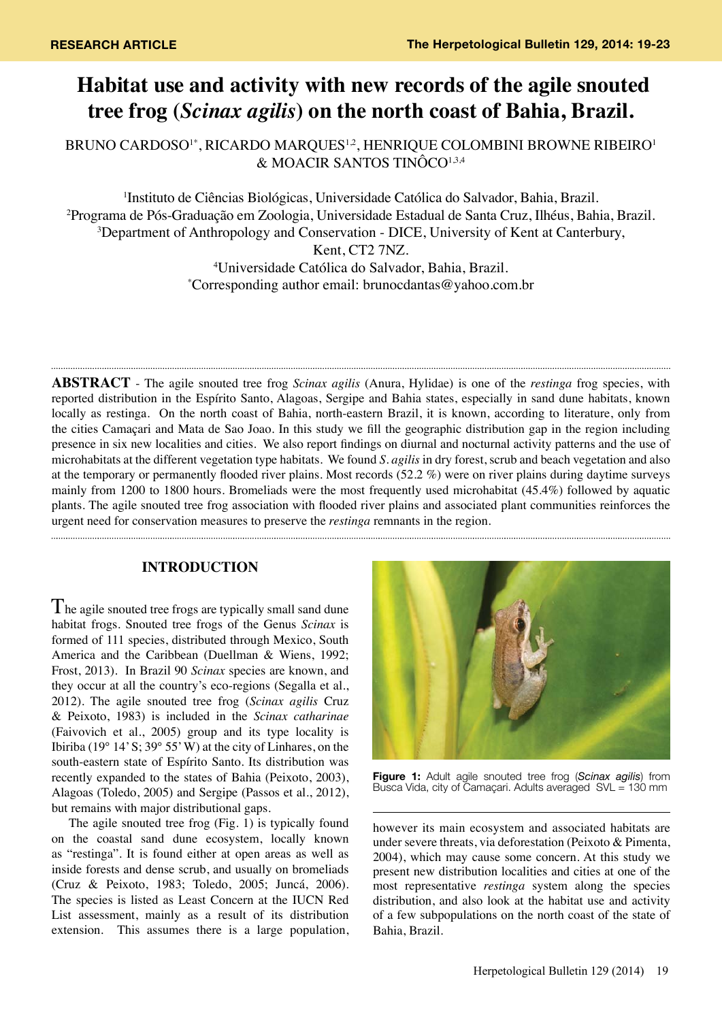# **Habitat use and activity with new records of the agile snouted tree frog (***Scinax agilis***) on the north coast of Bahia, Brazil.**

BRUNO CARDOSO<sup>1\*</sup>, RICARDO MARQUES<sup>1,2</sup>, HENRIQUE COLOMBINI BROWNE RIBEIRO<sup>1</sup> & MOACIR SANTOS TINÔCO1,3,4

1 Instituto de Ciências Biológicas, Universidade Católica do Salvador, Bahia, Brazil. 2 Programa de Pós-Graduação em Zoologia, Universidade Estadual de Santa Cruz, Ilhéus, Bahia, Brazil. <sup>3</sup>Department of Anthropology and Conservation - DICE, University of Kent at Canterbury, Kent, CT2 7NZ. 4 Universidade Católica do Salvador, Bahia, Brazil. \* Corresponding author email: brunocdantas@yahoo.com.br

**ABSTRACT** - The agile snouted tree frog *Scinax agilis* (Anura, Hylidae) is one of the *restinga* frog species, with reported distribution in the Espírito Santo, Alagoas, Sergipe and Bahia states, especially in sand dune habitats, known locally as restinga. On the north coast of Bahia, north-eastern Brazil, it is known, according to literature, only from the cities Camaçari and Mata de Sao Joao. In this study we fill the geographic distribution gap in the region including presence in six new localities and cities. We also report findings on diurnal and nocturnal activity patterns and the use of microhabitats at the different vegetation type habitats. We found *S. agilis* in dry forest, scrub and beach vegetation and also at the temporary or permanently flooded river plains. Most records (52.2 %) were on river plains during daytime surveys mainly from 1200 to 1800 hours. Bromeliads were the most frequently used microhabitat (45.4%) followed by aquatic plants. The agile snouted tree frog association with flooded river plains and associated plant communities reinforces the urgent need for conservation measures to preserve the *restinga* remnants in the region.

# **INTRODUCTION**

The agile snouted tree frogs are typically small sand dune habitat frogs. Snouted tree frogs of the Genus *Scinax* is formed of 111 species, distributed through Mexico, South America and the Caribbean (Duellman & Wiens, 1992; Frost, 2013). In Brazil 90 *Scinax* species are known, and they occur at all the country's eco-regions (Segalla et al., 2012). The agile snouted tree frog (*Scinax agilis* Cruz & Peixoto, 1983) is included in the *Scinax catharinae* (Faivovich et al., 2005) group and its type locality is Ibiriba (19 $\degree$  14' S; 39 $\degree$  55' W) at the city of Linhares, on the south-eastern state of Espírito Santo. Its distribution was recently expanded to the states of Bahia (Peixoto, 2003), Alagoas (Toledo, 2005) and Sergipe (Passos et al., 2012), but remains with major distributional gaps.

The agile snouted tree frog (Fig. 1) is typically found on the coastal sand dune ecosystem, locally known as "restinga". It is found either at open areas as well as inside forests and dense scrub, and usually on bromeliads (Cruz & Peixoto, 1983; Toledo, 2005; Juncá, 2006). The species is listed as Least Concern at the IUCN Red List assessment, mainly as a result of its distribution extension. This assumes there is a large population,



**Figure 1:** Adult agile snouted tree frog (*Scinax agilis*) from Busca Vida, city of Camaçari. Adults averaged SVL = 130 mm

however its main ecosystem and associated habitats are under severe threats, via deforestation (Peixoto & Pimenta, 2004), which may cause some concern. At this study we present new distribution localities and cities at one of the most representative *restinga* system along the species distribution, and also look at the habitat use and activity of a few subpopulations on the north coast of the state of Bahia, Brazil.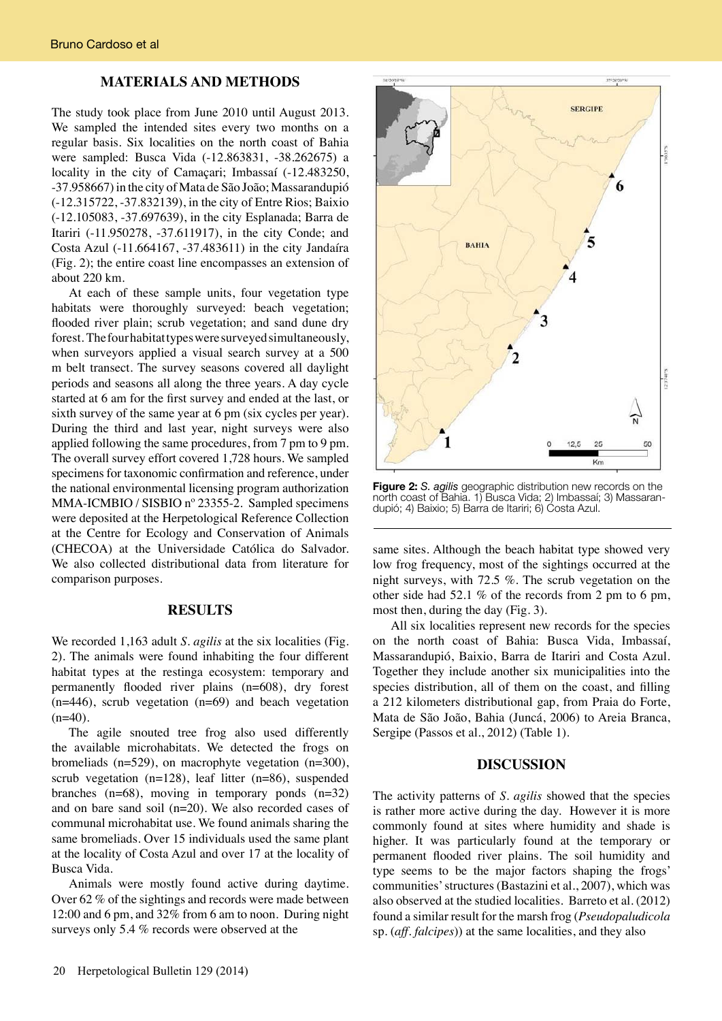### **MATERIALS AND METHODS**

The study took place from June 2010 until August 2013. We sampled the intended sites every two months on a regular basis. Six localities on the north coast of Bahia were sampled: Busca Vida (-12.863831, -38.262675) a locality in the city of Camaçari; Imbassaí (-12.483250, -37.958667) in the city of Mata de São João; Massarandupió (-12.315722, -37.832139), in the city of Entre Rios; Baixio (-12.105083, -37.697639), in the city Esplanada; Barra de Itariri (-11.950278, -37.611917), in the city Conde; and Costa Azul (-11.664167, -37.483611) in the city Jandaíra (Fig. 2); the entire coast line encompasses an extension of about 220 km.

At each of these sample units, four vegetation type habitats were thoroughly surveyed: beach vegetation; flooded river plain; scrub vegetation; and sand dune dry forest. The four habitat types were surveyed simultaneously, when surveyors applied a visual search survey at a 500 m belt transect. The survey seasons covered all daylight periods and seasons all along the three years. A day cycle started at 6 am for the first survey and ended at the last, or sixth survey of the same year at 6 pm (six cycles per year). During the third and last year, night surveys were also applied following the same procedures, from 7 pm to 9 pm. The overall survey effort covered 1,728 hours. We sampled specimens for taxonomic confirmation and reference, under the national environmental licensing program authorization MMA-ICMBIO / SISBIO nº 23355-2. Sampled specimens were deposited at the Herpetological Reference Collection at the Centre for Ecology and Conservation of Animals (CHECOA) at the Universidade Católica do Salvador. We also collected distributional data from literature for comparison purposes.

#### **RESULTS**

We recorded 1,163 adult *S. agilis* at the six localities (Fig. 2). The animals were found inhabiting the four different habitat types at the restinga ecosystem: temporary and permanently flooded river plains (n=608), dry forest (n=446), scrub vegetation (n=69) and beach vegetation  $(n=40)$ .

The agile snouted tree frog also used differently the available microhabitats. We detected the frogs on bromeliads (n=529), on macrophyte vegetation (n=300), scrub vegetation  $(n=128)$ , leaf litter  $(n=86)$ , suspended branches  $(n=68)$ , moving in temporary ponds  $(n=32)$ and on bare sand soil (n=20). We also recorded cases of communal microhabitat use. We found animals sharing the same bromeliads. Over 15 individuals used the same plant at the locality of Costa Azul and over 17 at the locality of Busca Vida.

Animals were mostly found active during daytime. Over 62 % of the sightings and records were made between 12:00 and 6 pm, and 32% from 6 am to noon. During night surveys only 5.4 % records were observed at the



**Figure 2:** *S. agilis* geographic distribution new records on the north coast of Bahia. 1) Busca Vida; 2) Imbassaí; 3) Massarandupió; 4) Baixio; 5) Barra de Itariri; 6) Costa Azul.

same sites. Although the beach habitat type showed very low frog frequency, most of the sightings occurred at the night surveys, with 72.5 %. The scrub vegetation on the other side had 52.1 % of the records from 2 pm to 6 pm, most then, during the day (Fig. 3).

 All six localities represent new records for the species on the north coast of Bahia: Busca Vida, Imbassaí, Massarandupió, Baixio, Barra de Itariri and Costa Azul. Together they include another six municipalities into the species distribution, all of them on the coast, and filling a 212 kilometers distributional gap, from Praia do Forte, Mata de São João, Bahia (Juncá, 2006) to Areia Branca, Sergipe (Passos et al., 2012) (Table 1).

#### **DISCUSSION**

The activity patterns of *S. agilis* showed that the species is rather more active during the day. However it is more commonly found at sites where humidity and shade is higher. It was particularly found at the temporary or permanent flooded river plains. The soil humidity and type seems to be the major factors shaping the frogs' communities' structures (Bastazini et al., 2007), which was also observed at the studied localities. Barreto et al. (2012) found a similar result for the marsh frog (*Pseudopaludicola*  sp. (*aff. falcipes*)) at the same localities, and they also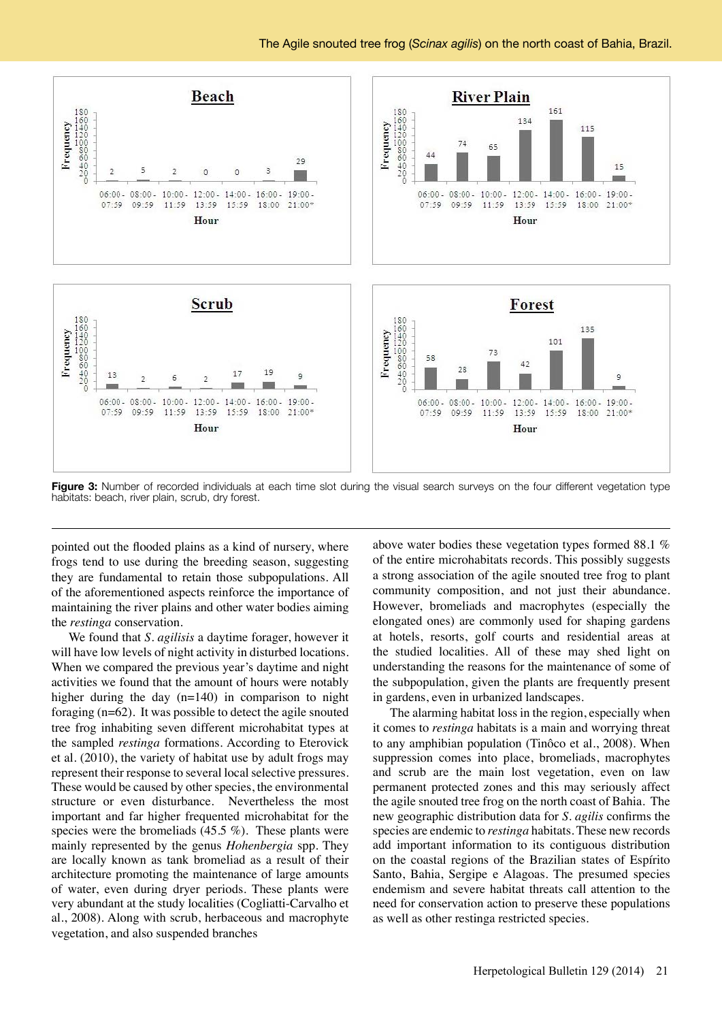

**Figure 3:** Number of recorded individuals at each time slot during the visual search surveys on the four different vegetation type habitats: beach, river plain, scrub, dry forest.

pointed out the flooded plains as a kind of nursery, where frogs tend to use during the breeding season, suggesting they are fundamental to retain those subpopulations. All of the aforementioned aspects reinforce the importance of maintaining the river plains and other water bodies aiming the *restinga* conservation.

We found that *S. agilisis* a daytime forager, however it will have low levels of night activity in disturbed locations. When we compared the previous year's daytime and night activities we found that the amount of hours were notably higher during the day (n=140) in comparison to night foraging (n=62). It was possible to detect the agile snouted tree frog inhabiting seven different microhabitat types at the sampled *restinga* formations. According to Eterovick et al. (2010), the variety of habitat use by adult frogs may represent their response to several local selective pressures. These would be caused by other species, the environmental structure or even disturbance. Nevertheless the most important and far higher frequented microhabitat for the species were the bromeliads  $(45.5\%)$ . These plants were mainly represented by the genus *Hohenbergia* spp. They are locally known as tank bromeliad as a result of their architecture promoting the maintenance of large amounts of water, even during dryer periods. These plants were very abundant at the study localities (Cogliatti-Carvalho et al., 2008). Along with scrub, herbaceous and macrophyte vegetation, and also suspended branches

above water bodies these vegetation types formed 88.1 % of the entire microhabitats records. This possibly suggests a strong association of the agile snouted tree frog to plant community composition, and not just their abundance. However, bromeliads and macrophytes (especially the elongated ones) are commonly used for shaping gardens at hotels, resorts, golf courts and residential areas at the studied localities. All of these may shed light on understanding the reasons for the maintenance of some of the subpopulation, given the plants are frequently present in gardens, even in urbanized landscapes.

The alarming habitat loss in the region, especially when it comes to *restinga* habitats is a main and worrying threat to any amphibian population (Tinôco et al., 2008). When suppression comes into place, bromeliads, macrophytes and scrub are the main lost vegetation, even on law permanent protected zones and this may seriously affect the agile snouted tree frog on the north coast of Bahia. The new geographic distribution data for *S. agilis* confirms the species are endemic to *restinga* habitats. These new records add important information to its contiguous distribution on the coastal regions of the Brazilian states of Espírito Santo, Bahia, Sergipe e Alagoas. The presumed species endemism and severe habitat threats call attention to the need for conservation action to preserve these populations as well as other restinga restricted species.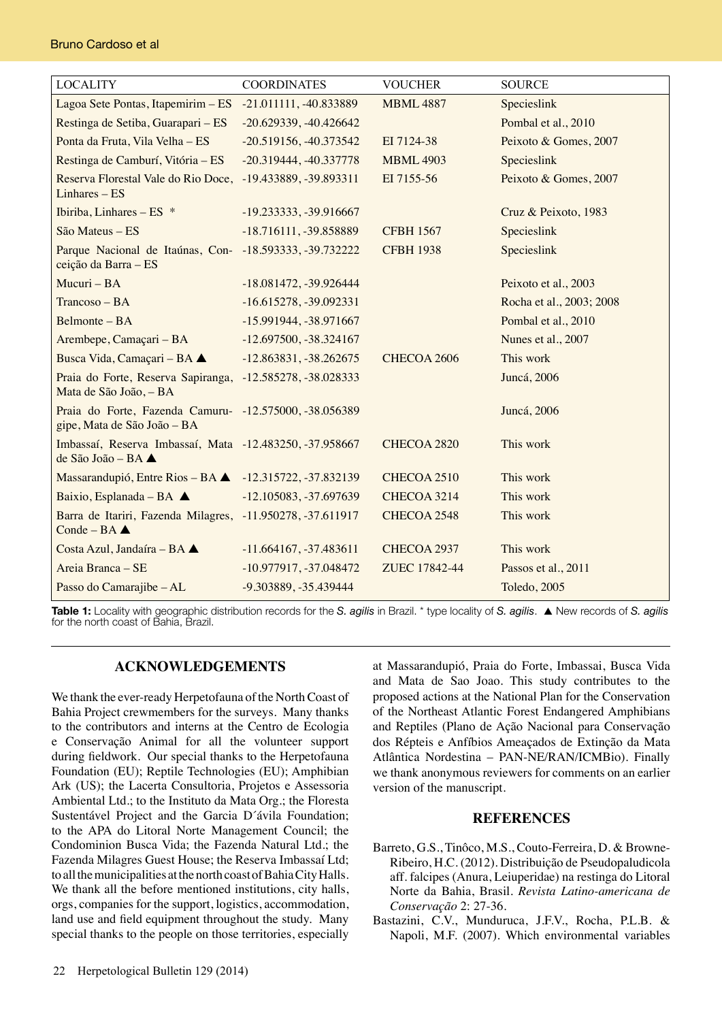| <b>LOCALITY</b>                                                                              | <b>COORDINATES</b>       | <b>VOUCHER</b>   | <b>SOURCE</b>            |
|----------------------------------------------------------------------------------------------|--------------------------|------------------|--------------------------|
| Lagoa Sete Pontas, Itapemirim - ES                                                           | $-21.011111, -40.833889$ | <b>MBML 4887</b> | Specieslink              |
| Restinga de Setiba, Guarapari – ES                                                           | $-20.629339, -40.426642$ |                  | Pombal et al., 2010      |
| Ponta da Fruta, Vila Velha - ES                                                              | $-20.519156, -40.373542$ | EI 7124-38       | Peixoto & Gomes, 2007    |
| Restinga de Camburí, Vitória - ES                                                            | $-20.319444, -40.337778$ | <b>MBML 4903</b> | Specieslink              |
| Reserva Florestal Vale do Rio Doce,<br>$Linhares - ES$                                       | -19.433889, -39.893311   | EI 7155-56       | Peixoto & Gomes, 2007    |
| Ibiriba, Linhares - ES *                                                                     | -19.233333, -39.916667   |                  | Cruz & Peixoto, 1983     |
| São Mateus - ES                                                                              | $-18.716111, -39.858889$ | <b>CFBH 1567</b> | Specieslink              |
| Parque Nacional de Itaúnas, Con- -18.593333, -39.732222<br>ceição da Barra - ES              |                          | <b>CFBH 1938</b> | Specieslink              |
| Mucuri - BA                                                                                  | $-18.081472, -39.926444$ |                  | Peixoto et al., 2003     |
| $Trancoso - BA$                                                                              | $-16.615278, -39.092331$ |                  | Rocha et al., 2003; 2008 |
| Belmonte - BA                                                                                | -15.991944, -38.971667   |                  | Pombal et al., 2010      |
| Arembepe, Camaçari - BA                                                                      | $-12.697500, -38.324167$ |                  | Nunes et al., 2007       |
| Busca Vida, Camaçari - BA ▲                                                                  | $-12.863831, -38.262675$ | CHECOA 2606      | This work                |
| Praia do Forte, Reserva Sapiranga,<br>Mata de São João, - BA                                 | $-12.585278, -38.028333$ |                  | Juncá, 2006              |
| Praia do Forte, Fazenda Camuru- -12.575000, -38.056389<br>gipe, Mata de São João - BA        |                          |                  | Juncá, 2006              |
| Imbassaí, Reserva Imbassaí, Mata -12.483250, -37.958667<br>de São João – BA $\blacktriangle$ |                          | CHECOA 2820      | This work                |
| Massarandupió, Entre Rios - BA - 12.315722, -37.832139                                       |                          | CHECOA 2510      | This work                |
| Baixio, Esplanada - BA $\blacktriangle$                                                      | $-12.105083, -37.697639$ | CHECOA 3214      | This work                |
| Barra de Itariri, Fazenda Milagres, -11.950278, -37.611917<br>Conde - BA $\triangle$         |                          | CHECOA 2548      | This work                |
| Costa Azul, Jandaíra - BA ▲                                                                  | $-11.664167, -37.483611$ | CHECOA 2937      | This work                |
| Areia Branca - SE                                                                            | $-10.977917, -37.048472$ | ZUEC 17842-44    | Passos et al., 2011      |
| Passo do Camarajibe - AL                                                                     | -9.303889, -35.439444    |                  | Toledo, 2005             |

**Table 1:** Locality with geographic distribution records for the *S. agilis* in Brazil. \* type locality of *S. agilis*. p New records of *S. agilis* for the north coast of Bahia, Brazil.

# **ACKNOWLEDGEMENTS**

We thank the ever-ready Herpetofauna of the North Coast of Bahia Project crewmembers for the surveys. Many thanks to the contributors and interns at the Centro de Ecologia e Conservação Animal for all the volunteer support during fieldwork. Our special thanks to the Herpetofauna Foundation (EU); Reptile Technologies (EU); Amphibian Ark (US); the Lacerta Consultoria, Projetos e Assessoria Ambiental Ltd.; to the Instituto da Mata Org.; the Floresta Sustentável Project and the Garcia D´ávila Foundation; to the APA do Litoral Norte Management Council; the Condominion Busca Vida; the Fazenda Natural Ltd.; the Fazenda Milagres Guest House; the Reserva Imbassaí Ltd; to all the municipalities at the north coast of Bahia City Halls. We thank all the before mentioned institutions, city halls, orgs, companies for the support, logistics, accommodation, land use and field equipment throughout the study. Many special thanks to the people on those territories, especially

at Massarandupió, Praia do Forte, Imbassai, Busca Vida and Mata de Sao Joao. This study contributes to the proposed actions at the National Plan for the Conservation of the Northeast Atlantic Forest Endangered Amphibians and Reptiles (Plano de Ação Nacional para Conservação dos Répteis e Anfíbios Ameaçados de Extinção da Mata Atlântica Nordestina – PAN-NE/RAN/ICMBio). Finally we thank anonymous reviewers for comments on an earlier version of the manuscript.

# **REFERENCES**

- Barreto, G.S., Tinôco, M.S., Couto-Ferreira, D. & Browne- Ribeiro, H.C. (2012). Distribuição de Pseudopaludicola aff. falcipes (Anura, Leiuperidae) na restinga do Litoral Norte da Bahia, Brasil. *Revista Latino-americana de Conservação* 2: 27-36.
- Bastazini, C.V., Munduruca, J.F.V., Rocha, P.L.B. & Napoli, M.F. (2007). Which environmental variables